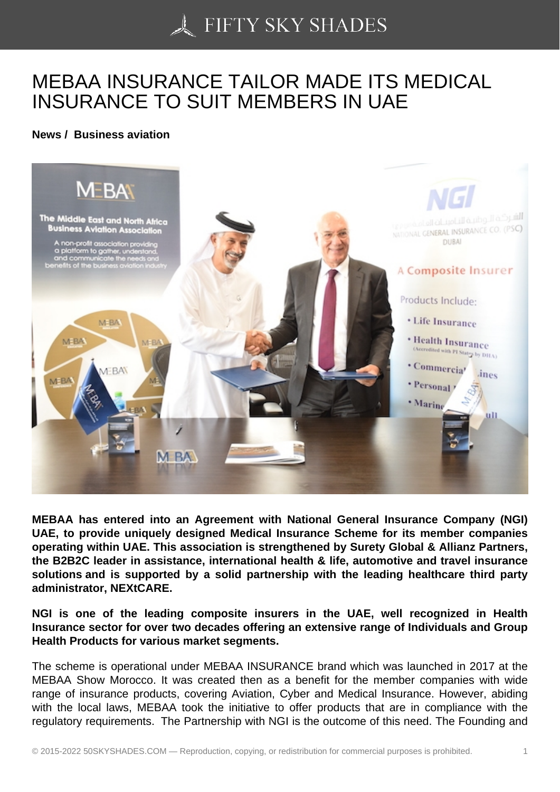## [MEBAA INSURANCE T](https://50skyshades.com)AILOR MADE ITS MEDICAL INSURANCE TO SUIT MEMBERS IN UAE

News / Business aviation

MEBAA has entered into an Agreement with National General Insurance Company (NGI) UAE, to provide uniquely designed Medical Insurance Scheme for its member companies operating within UAE. This association is strengthened by Surety Global & Allianz Partners, the B2B2C leader in assistance, international health & life, automotive and travel insurance solutions and is supported by a solid partnership with the leading healthcare third party administrator, NEXtCARE.

NGI is one of the leading composite insurers in the UAE, well recognized in Health Insurance sector for over two decades offering an extensive range of Individuals and Group Health Products for various market segments.

The scheme is operational under MEBAA INSURANCE brand which was launched in 2017 at the MEBAA Show Morocco. It was created then as a benefit for the member companies with wide range of insurance products, covering Aviation, Cyber and Medical Insurance. However, abiding with the local laws, MEBAA took the initiative to offer products that are in compliance with the regulatory requirements. The Partnership with NGI is the outcome of this need. The Founding and